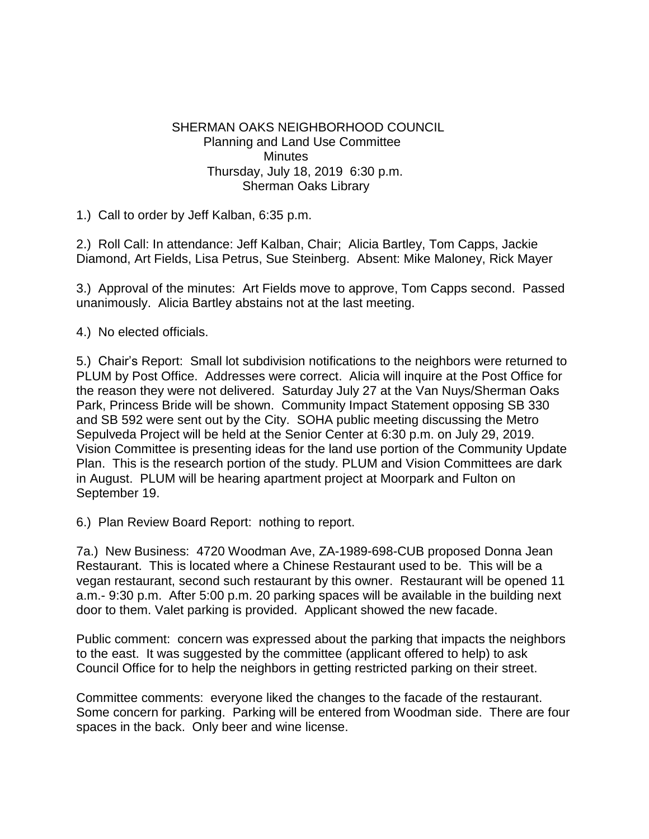## SHERMAN OAKS NEIGHBORHOOD COUNCIL Planning and Land Use Committee **Minutes**  Thursday, July 18, 2019 6:30 p.m. Sherman Oaks Library

1.) Call to order by Jeff Kalban, 6:35 p.m.

2.) Roll Call: In attendance: Jeff Kalban, Chair; Alicia Bartley, Tom Capps, Jackie Diamond, Art Fields, Lisa Petrus, Sue Steinberg. Absent: Mike Maloney, Rick Mayer

3.) Approval of the minutes: Art Fields move to approve, Tom Capps second. Passed unanimously. Alicia Bartley abstains not at the last meeting.

4.) No elected officials.

5.) Chair's Report: Small lot subdivision notifications to the neighbors were returned to PLUM by Post Office. Addresses were correct. Alicia will inquire at the Post Office for the reason they were not delivered. Saturday July 27 at the Van Nuys/Sherman Oaks Park, Princess Bride will be shown. Community Impact Statement opposing SB 330 and SB 592 were sent out by the City. SOHA public meeting discussing the Metro Sepulveda Project will be held at the Senior Center at 6:30 p.m. on July 29, 2019. Vision Committee is presenting ideas for the land use portion of the Community Update Plan. This is the research portion of the study. PLUM and Vision Committees are dark in August. PLUM will be hearing apartment project at Moorpark and Fulton on September 19.

6.) Plan Review Board Report: nothing to report.

7a.) New Business: 4720 Woodman Ave, ZA-1989-698-CUB proposed Donna Jean Restaurant. This is located where a Chinese Restaurant used to be. This will be a vegan restaurant, second such restaurant by this owner. Restaurant will be opened 11 a.m.- 9:30 p.m. After 5:00 p.m. 20 parking spaces will be available in the building next door to them. Valet parking is provided. Applicant showed the new facade.

Public comment: concern was expressed about the parking that impacts the neighbors to the east. It was suggested by the committee (applicant offered to help) to ask Council Office for to help the neighbors in getting restricted parking on their street.

Committee comments: everyone liked the changes to the facade of the restaurant. Some concern for parking. Parking will be entered from Woodman side. There are four spaces in the back. Only beer and wine license.